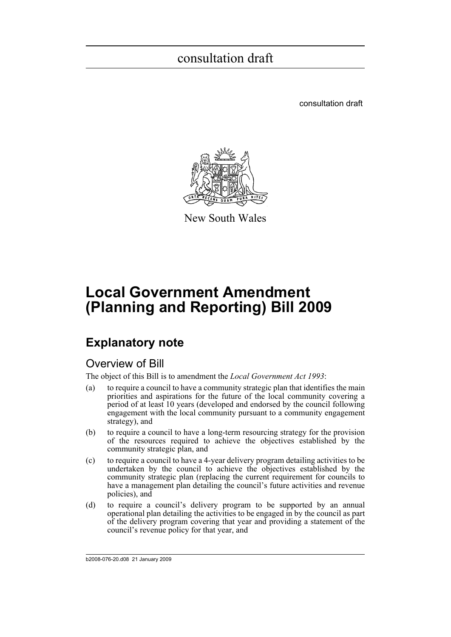consultation draft



New South Wales

# **Local Government Amendment (Planning and Reporting) Bill 2009**

# **Explanatory note**

### Overview of Bill

The object of this Bill is to amendment the *Local Government Act 1993*:

- (a) to require a council to have a community strategic plan that identifies the main priorities and aspirations for the future of the local community covering a period of at least 10 years (developed and endorsed by the council following engagement with the local community pursuant to a community engagement strategy), and
- (b) to require a council to have a long-term resourcing strategy for the provision of the resources required to achieve the objectives established by the community strategic plan, and
- (c) to require a council to have a 4-year delivery program detailing activities to be undertaken by the council to achieve the objectives established by the community strategic plan (replacing the current requirement for councils to have a management plan detailing the council's future activities and revenue policies), and
- (d) to require a council's delivery program to be supported by an annual operational plan detailing the activities to be engaged in by the council as part of the delivery program covering that year and providing a statement of the council's revenue policy for that year, and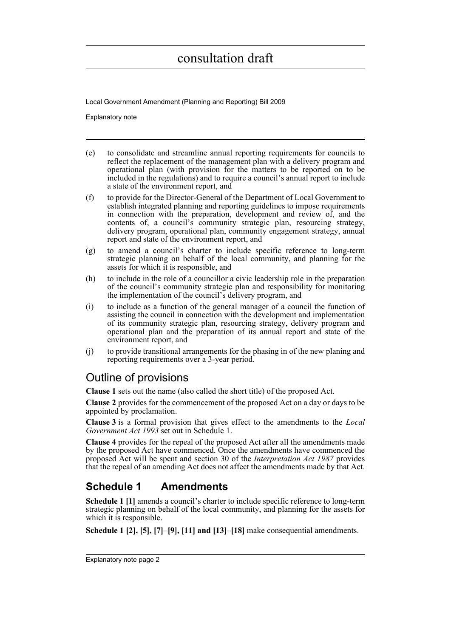Local Government Amendment (Planning and Reporting) Bill 2009

Explanatory note

- (e) to consolidate and streamline annual reporting requirements for councils to reflect the replacement of the management plan with a delivery program and operational plan (with provision for the matters to be reported on to be included in the regulations) and to require a council's annual report to include a state of the environment report, and
- (f) to provide for the Director-General of the Department of Local Government to establish integrated planning and reporting guidelines to impose requirements in connection with the preparation, development and review of, and the contents of, a council's community strategic plan, resourcing strategy, delivery program, operational plan, community engagement strategy, annual report and state of the environment report, and
- (g) to amend a council's charter to include specific reference to long-term strategic planning on behalf of the local community, and planning for the assets for which it is responsible, and
- (h) to include in the role of a councillor a civic leadership role in the preparation of the council's community strategic plan and responsibility for monitoring the implementation of the council's delivery program, and
- (i) to include as a function of the general manager of a council the function of assisting the council in connection with the development and implementation of its community strategic plan, resourcing strategy, delivery program and operational plan and the preparation of its annual report and state of the environment report, and
- (j) to provide transitional arrangements for the phasing in of the new planing and reporting requirements over a 3-year period.

### Outline of provisions

**Clause 1** sets out the name (also called the short title) of the proposed Act.

**Clause 2** provides for the commencement of the proposed Act on a day or days to be appointed by proclamation.

**Clause 3** is a formal provision that gives effect to the amendments to the *Local Government Act 1993* set out in Schedule 1.

**Clause 4** provides for the repeal of the proposed Act after all the amendments made by the proposed Act have commenced. Once the amendments have commenced the proposed Act will be spent and section 30 of the *Interpretation Act 1987* provides that the repeal of an amending Act does not affect the amendments made by that Act.

## **Schedule 1 Amendments**

**Schedule 1 [1]** amends a council's charter to include specific reference to long-term strategic planning on behalf of the local community, and planning for the assets for which it is responsible.

**Schedule 1 [2], [5], [7]–[9], [11] and [13]–[18]** make consequential amendments.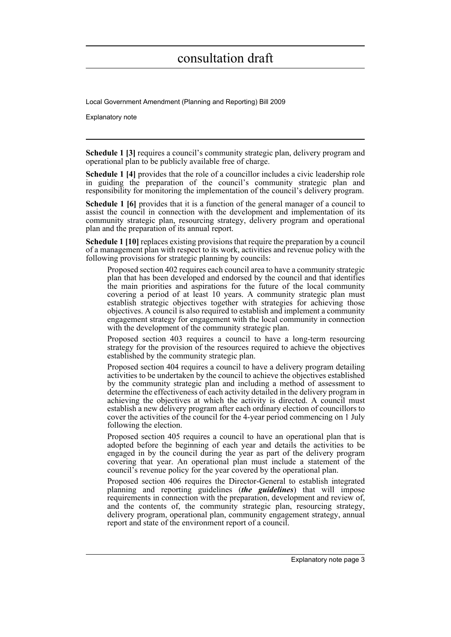Local Government Amendment (Planning and Reporting) Bill 2009

Explanatory note

**Schedule 1 [3]** requires a council's community strategic plan, delivery program and operational plan to be publicly available free of charge.

**Schedule 1 [4]** provides that the role of a councillor includes a civic leadership role in guiding the preparation of the council's community strategic plan and responsibility for monitoring the implementation of the council's delivery program.

**Schedule 1 [6]** provides that it is a function of the general manager of a council to assist the council in connection with the development and implementation of its community strategic plan, resourcing strategy, delivery program and operational plan and the preparation of its annual report.

**Schedule 1 [10]** replaces existing provisions that require the preparation by a council of a management plan with respect to its work, activities and revenue policy with the following provisions for strategic planning by councils:

Proposed section 402 requires each council area to have a community strategic plan that has been developed and endorsed by the council and that identifies the main priorities and aspirations for the future of the local community covering a period of at least 10 years. A community strategic plan must establish strategic objectives together with strategies for achieving those objectives. A council is also required to establish and implement a community engagement strategy for engagement with the local community in connection with the development of the community strategic plan.

Proposed section 403 requires a council to have a long-term resourcing strategy for the provision of the resources required to achieve the objectives established by the community strategic plan.

Proposed section 404 requires a council to have a delivery program detailing activities to be undertaken by the council to achieve the objectives established by the community strategic plan and including a method of assessment to determine the effectiveness of each activity detailed in the delivery program in achieving the objectives at which the activity is directed. A council must establish a new delivery program after each ordinary election of councillors to cover the activities of the council for the 4-year period commencing on 1 July following the election.

Proposed section 405 requires a council to have an operational plan that is adopted before the beginning of each year and details the activities to be engaged in by the council during the year as part of the delivery program covering that year. An operational plan must include a statement of the council's revenue policy for the year covered by the operational plan.

Proposed section 406 requires the Director-General to establish integrated planning and reporting guidelines (*the guidelines*) that will impose requirements in connection with the preparation, development and review of, and the contents of, the community strategic plan, resourcing strategy, delivery program, operational plan, community engagement strategy, annual report and state of the environment report of a council.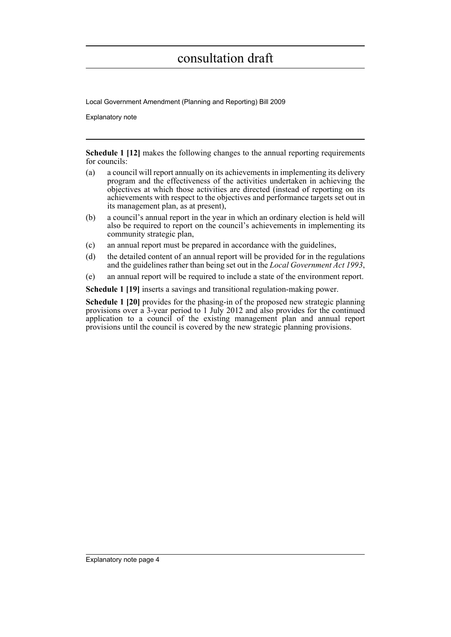Local Government Amendment (Planning and Reporting) Bill 2009

Explanatory note

**Schedule 1 [12]** makes the following changes to the annual reporting requirements for councils:

- (a) a council will report annually on its achievements in implementing its delivery program and the effectiveness of the activities undertaken in achieving the objectives at which those activities are directed (instead of reporting on its achievements with respect to the objectives and performance targets set out in its management plan, as at present),
- (b) a council's annual report in the year in which an ordinary election is held will also be required to report on the council's achievements in implementing its community strategic plan,
- (c) an annual report must be prepared in accordance with the guidelines,
- (d) the detailed content of an annual report will be provided for in the regulations and the guidelines rather than being set out in the *Local Government Act 1993*,
- (e) an annual report will be required to include a state of the environment report.

**Schedule 1 [19]** inserts a savings and transitional regulation-making power.

**Schedule 1 [20]** provides for the phasing-in of the proposed new strategic planning provisions over a 3-year period to 1 July 2012 and also provides for the continued application to a council of the existing management plan and annual report provisions until the council is covered by the new strategic planning provisions.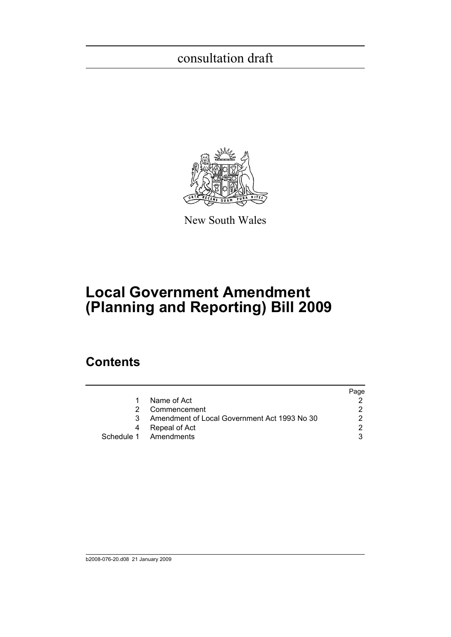

New South Wales

# **Local Government Amendment (Planning and Reporting) Bill 2009**

## **Contents**

|                                              | Page |
|----------------------------------------------|------|
| Name of Act                                  |      |
| Commencement                                 |      |
| Amendment of Local Government Act 1993 No 30 |      |
| Repeal of Act                                |      |
| Schedule 1 Amendments                        |      |
|                                              |      |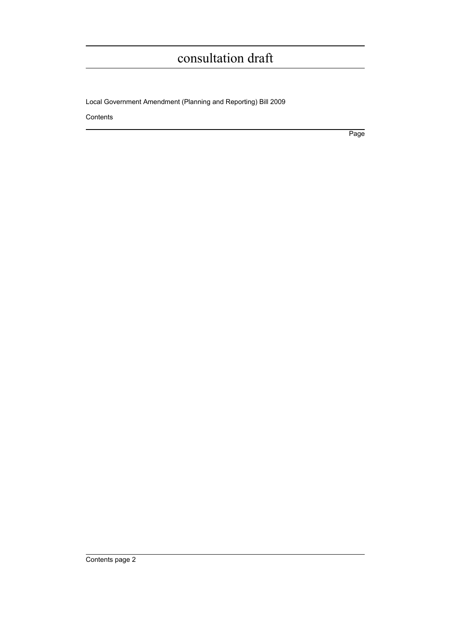Local Government Amendment (Planning and Reporting) Bill 2009

Contents

Page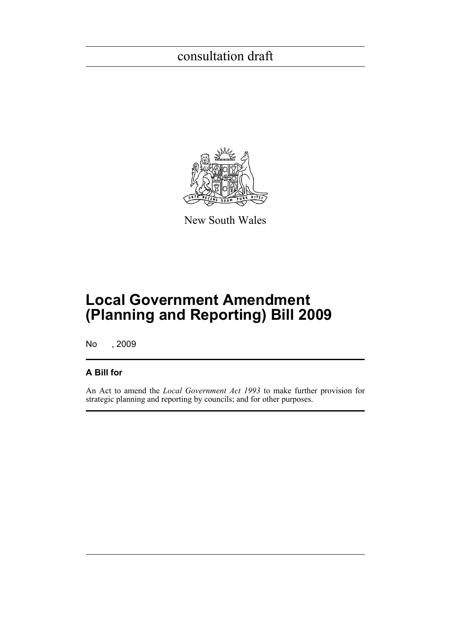

New South Wales

# **Local Government Amendment (Planning and Reporting) Bill 2009**

No , 2009

### **A Bill for**

An Act to amend the *Local Government Act 1993* to make further provision for strategic planning and reporting by councils; and for other purposes.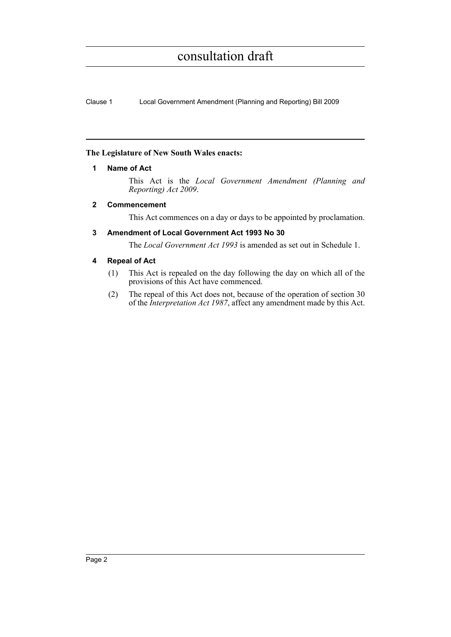Clause 1 Local Government Amendment (Planning and Reporting) Bill 2009

### <span id="page-7-0"></span>**The Legislature of New South Wales enacts:**

### **1 Name of Act**

This Act is the *Local Government Amendment (Planning and Reporting) Act 2009*.

### <span id="page-7-1"></span>**2 Commencement**

This Act commences on a day or days to be appointed by proclamation.

### <span id="page-7-2"></span>**3 Amendment of Local Government Act 1993 No 30**

The *Local Government Act 1993* is amended as set out in Schedule 1.

### <span id="page-7-3"></span>**4 Repeal of Act**

- (1) This Act is repealed on the day following the day on which all of the provisions of this Act have commenced.
- (2) The repeal of this Act does not, because of the operation of section 30 of the *Interpretation Act 1987*, affect any amendment made by this Act.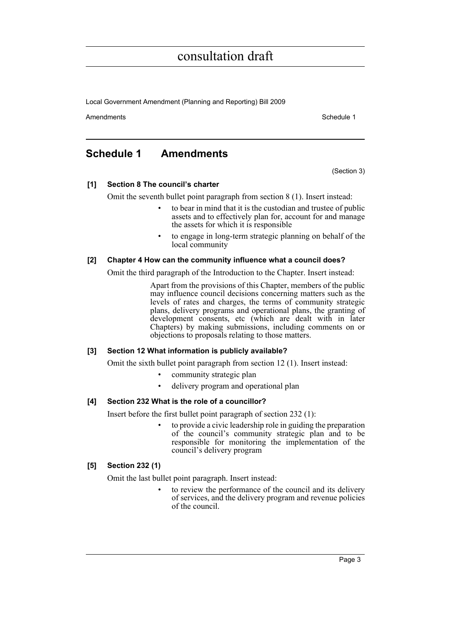Local Government Amendment (Planning and Reporting) Bill 2009

Amendments **Amendments** Schedule 1

### <span id="page-8-0"></span>**Schedule 1 Amendments**

(Section 3)

### **[1] Section 8 The council's charter**

Omit the seventh bullet point paragraph from section 8 (1). Insert instead:

- to bear in mind that it is the custodian and trustee of public assets and to effectively plan for, account for and manage the assets for which it is responsible
- to engage in long-term strategic planning on behalf of the local community

### **[2] Chapter 4 How can the community influence what a council does?**

Omit the third paragraph of the Introduction to the Chapter. Insert instead:

Apart from the provisions of this Chapter, members of the public may influence council decisions concerning matters such as the levels of rates and charges, the terms of community strategic plans, delivery programs and operational plans, the granting of development consents, etc (which are dealt with in later Chapters) by making submissions, including comments on or objections to proposals relating to those matters.

### **[3] Section 12 What information is publicly available?**

Omit the sixth bullet point paragraph from section 12 (1). Insert instead:

- community strategic plan
- delivery program and operational plan

### **[4] Section 232 What is the role of a councillor?**

Insert before the first bullet point paragraph of section 232 (1):

• to provide a civic leadership role in guiding the preparation of the council's community strategic plan and to be responsible for monitoring the implementation of the council's delivery program

### **[5] Section 232 (1)**

Omit the last bullet point paragraph. Insert instead:

• to review the performance of the council and its delivery of services, and the delivery program and revenue policies of the council.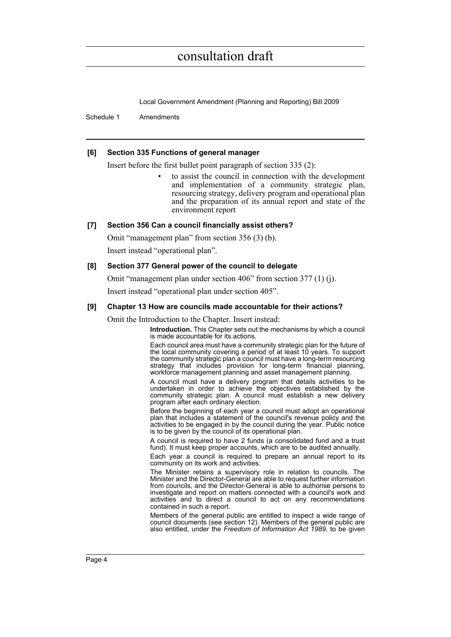Local Government Amendment (Planning and Reporting) Bill 2009

Schedule 1 Amendments

### **[6] Section 335 Functions of general manager**

Insert before the first bullet point paragraph of section 335 (2):

• to assist the council in connection with the development and implementation of a community strategic plan, resourcing strategy, delivery program and operational plan and the preparation of its annual report and state of the environment report

### **[7] Section 356 Can a council financially assist others?**

Omit "management plan" from section 356 (3) (b).

Insert instead "operational plan".

### **[8] Section 377 General power of the council to delegate**

Omit "management plan under section 406" from section 377 (1) (j).

Insert instead "operational plan under section 405".

### **[9] Chapter 13 How are councils made accountable for their actions?**

Omit the Introduction to the Chapter. Insert instead:

**Introduction.** This Chapter sets out the mechanisms by which a council is made accountable for its actions.

Each council area must have a community strategic plan for the future of the local community covering a period of at least 10 years. To support the community strategic plan a council must have a long-term resourcing strategy that includes provision for long-term financial planning, workforce management planning and asset management planning.

A council must have a delivery program that details activities to be undertaken in order to achieve the objectives established by the community strategic plan. A council must establish a new delivery program after each ordinary election.

Before the beginning of each year a council must adopt an operational plan that includes a statement of the council's revenue policy and the activities to be engaged in by the council during the year. Public notice is to be given by the council of its operational plan.

A council is required to have 2 funds (a consolidated fund and a trust fund). It must keep proper accounts, which are to be audited annually.

Each year a council is required to prepare an annual report to its community on its work and activities.

The Minister retains a supervisory role in relation to councils. The Minister and the Director-General are able to request further information from councils, and the Director-General is able to authorise persons to investigate and report on matters connected with a council's work and activities and to direct a council to act on any recommendations contained in such a report.

Members of the general public are entitled to inspect a wide range of council documents (see section 12). Members of the general public are also entitled, under the *Freedom of Information Act 1989*, to be given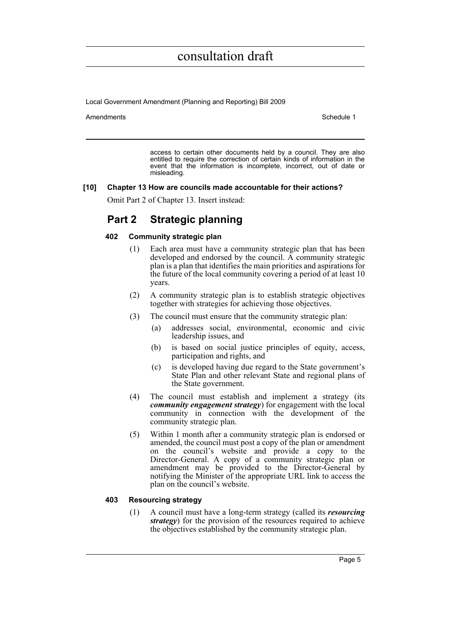Local Government Amendment (Planning and Reporting) Bill 2009

Amendments **Amendments** Schedule 1

access to certain other documents held by a council. They are also entitled to require the correction of certain kinds of information in the event that the information is incomplete, incorrect, out of date or misleading.

#### **[10] Chapter 13 How are councils made accountable for their actions?**

Omit Part 2 of Chapter 13. Insert instead:

### **Part 2 Strategic planning**

### **402 Community strategic plan**

- (1) Each area must have a community strategic plan that has been developed and endorsed by the council. A community strategic plan is a plan that identifies the main priorities and aspirations for the future of the local community covering a period of at least 10 years.
- (2) A community strategic plan is to establish strategic objectives together with strategies for achieving those objectives.
- (3) The council must ensure that the community strategic plan:
	- (a) addresses social, environmental, economic and civic leadership issues, and
	- (b) is based on social justice principles of equity, access, participation and rights, and
	- (c) is developed having due regard to the State government's State Plan and other relevant State and regional plans of the State government.
- (4) The council must establish and implement a strategy (its *community engagement strategy*) for engagement with the local community in connection with the development of the community strategic plan.
- (5) Within 1 month after a community strategic plan is endorsed or amended, the council must post a copy of the plan or amendment on the council's website and provide a copy to the Director-General. A copy of a community strategic plan or amendment may be provided to the Director-General by notifying the Minister of the appropriate URL link to access the plan on the council's website.

### **403 Resourcing strategy**

(1) A council must have a long-term strategy (called its *resourcing strategy*) for the provision of the resources required to achieve the objectives established by the community strategic plan.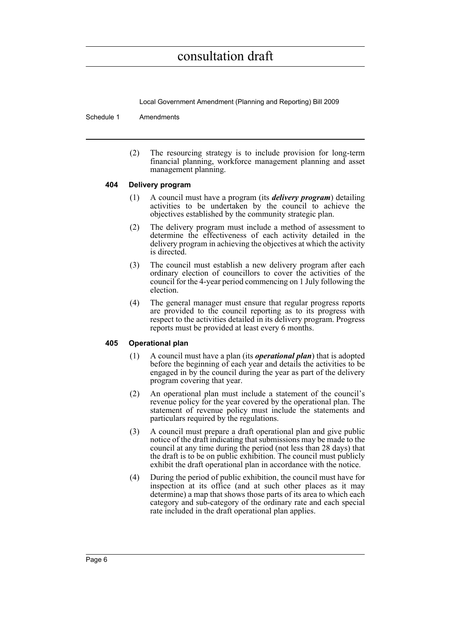Local Government Amendment (Planning and Reporting) Bill 2009

Schedule 1 Amendments

(2) The resourcing strategy is to include provision for long-term financial planning, workforce management planning and asset management planning.

### **404 Delivery program**

- (1) A council must have a program (its *delivery program*) detailing activities to be undertaken by the council to achieve the objectives established by the community strategic plan.
- (2) The delivery program must include a method of assessment to determine the effectiveness of each activity detailed in the delivery program in achieving the objectives at which the activity is directed.
- (3) The council must establish a new delivery program after each ordinary election of councillors to cover the activities of the council for the 4-year period commencing on 1 July following the election.
- (4) The general manager must ensure that regular progress reports are provided to the council reporting as to its progress with respect to the activities detailed in its delivery program. Progress reports must be provided at least every 6 months.

### **405 Operational plan**

- (1) A council must have a plan (its *operational plan*) that is adopted before the beginning of each year and details the activities to be engaged in by the council during the year as part of the delivery program covering that year.
- (2) An operational plan must include a statement of the council's revenue policy for the year covered by the operational plan. The statement of revenue policy must include the statements and particulars required by the regulations.
- (3) A council must prepare a draft operational plan and give public notice of the draft indicating that submissions may be made to the council at any time during the period (not less than 28 days) that the draft is to be on public exhibition. The council must publicly exhibit the draft operational plan in accordance with the notice.
- (4) During the period of public exhibition, the council must have for inspection at its office (and at such other places as it may determine) a map that shows those parts of its area to which each category and sub-category of the ordinary rate and each special rate included in the draft operational plan applies.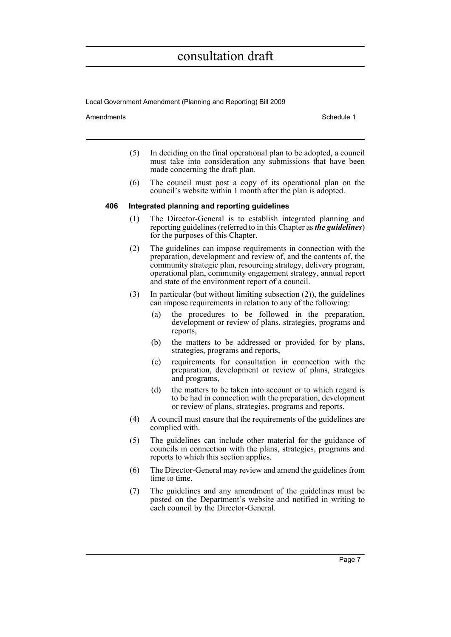Local Government Amendment (Planning and Reporting) Bill 2009

Amendments **Amendments** Schedule 1

- (5) In deciding on the final operational plan to be adopted, a council must take into consideration any submissions that have been made concerning the draft plan.
- (6) The council must post a copy of its operational plan on the council's website within 1 month after the plan is adopted.

#### **406 Integrated planning and reporting guidelines**

- (1) The Director-General is to establish integrated planning and reporting guidelines (referred to in this Chapter as *the guidelines*) for the purposes of this Chapter.
- (2) The guidelines can impose requirements in connection with the preparation, development and review of, and the contents of, the community strategic plan, resourcing strategy, delivery program, operational plan, community engagement strategy, annual report and state of the environment report of a council.
- (3) In particular (but without limiting subsection (2)), the guidelines can impose requirements in relation to any of the following:
	- (a) the procedures to be followed in the preparation, development or review of plans, strategies, programs and reports,
	- (b) the matters to be addressed or provided for by plans, strategies, programs and reports,
	- (c) requirements for consultation in connection with the preparation, development or review of plans, strategies and programs,
	- (d) the matters to be taken into account or to which regard is to be had in connection with the preparation, development or review of plans, strategies, programs and reports.
- (4) A council must ensure that the requirements of the guidelines are complied with.
- (5) The guidelines can include other material for the guidance of councils in connection with the plans, strategies, programs and reports to which this section applies.
- (6) The Director-General may review and amend the guidelines from time to time.
- (7) The guidelines and any amendment of the guidelines must be posted on the Department's website and notified in writing to each council by the Director-General.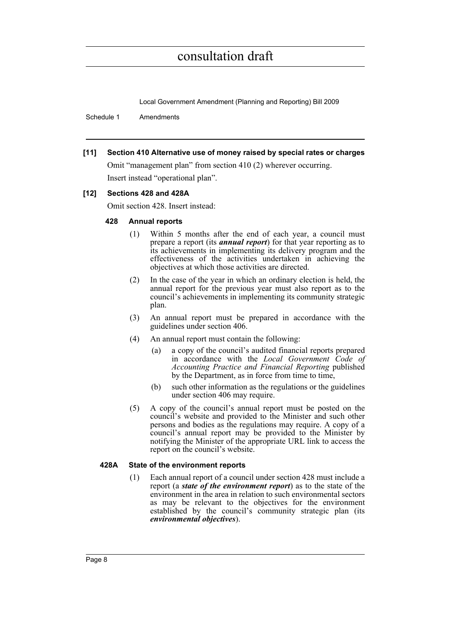Local Government Amendment (Planning and Reporting) Bill 2009

Schedule 1 Amendments

### **[11] Section 410 Alternative use of money raised by special rates or charges**

Omit "management plan" from section 410 (2) wherever occurring. Insert instead "operational plan".

### **[12] Sections 428 and 428A**

Omit section 428. Insert instead:

### **428 Annual reports**

- (1) Within 5 months after the end of each year, a council must prepare a report (its *annual report*) for that year reporting as to its achievements in implementing its delivery program and the effectiveness of the activities undertaken in achieving the objectives at which those activities are directed.
- (2) In the case of the year in which an ordinary election is held, the annual report for the previous year must also report as to the council's achievements in implementing its community strategic plan.
- (3) An annual report must be prepared in accordance with the guidelines under section 406.
- (4) An annual report must contain the following:
	- (a) a copy of the council's audited financial reports prepared in accordance with the *Local Government Code of Accounting Practice and Financial Reporting* published by the Department, as in force from time to time,
	- (b) such other information as the regulations or the guidelines under section 406 may require.
- (5) A copy of the council's annual report must be posted on the council's website and provided to the Minister and such other persons and bodies as the regulations may require. A copy of a council's annual report may be provided to the Minister by notifying the Minister of the appropriate URL link to access the report on the council's website.

### **428A State of the environment reports**

(1) Each annual report of a council under section 428 must include a report (a *state of the environment report*) as to the state of the environment in the area in relation to such environmental sectors as may be relevant to the objectives for the environment established by the council's community strategic plan (its *environmental objectives*).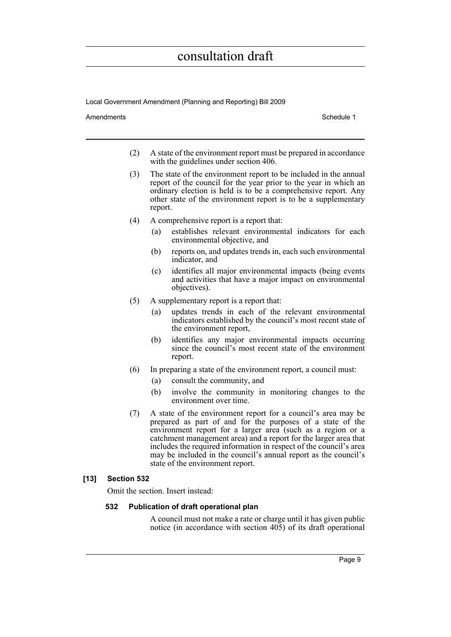Local Government Amendment (Planning and Reporting) Bill 2009

Amendments **Amendments** Schedule 1

- (2) A state of the environment report must be prepared in accordance with the guidelines under section 406.
- (3) The state of the environment report to be included in the annual report of the council for the year prior to the year in which an ordinary election is held is to be a comprehensive report. Any other state of the environment report is to be a supplementary report.
- (4) A comprehensive report is a report that:
	- (a) establishes relevant environmental indicators for each environmental objective, and
	- (b) reports on, and updates trends in, each such environmental indicator, and
	- (c) identifies all major environmental impacts (being events and activities that have a major impact on environmental objectives).
- (5) A supplementary report is a report that:
	- (a) updates trends in each of the relevant environmental indicators established by the council's most recent state of the environment report,
	- (b) identifies any major environmental impacts occurring since the council's most recent state of the environment report.
- (6) In preparing a state of the environment report, a council must:
	- (a) consult the community, and
	- (b) involve the community in monitoring changes to the environment over time.
- (7) A state of the environment report for a council's area may be prepared as part of and for the purposes of a state of the environment report for a larger area (such as a region or a catchment management area) and a report for the larger area that includes the required information in respect of the council's area may be included in the council's annual report as the council's state of the environment report.

### **[13] Section 532**

Omit the section. Insert instead:

### **532 Publication of draft operational plan**

A council must not make a rate or charge until it has given public notice (in accordance with section 405) of its draft operational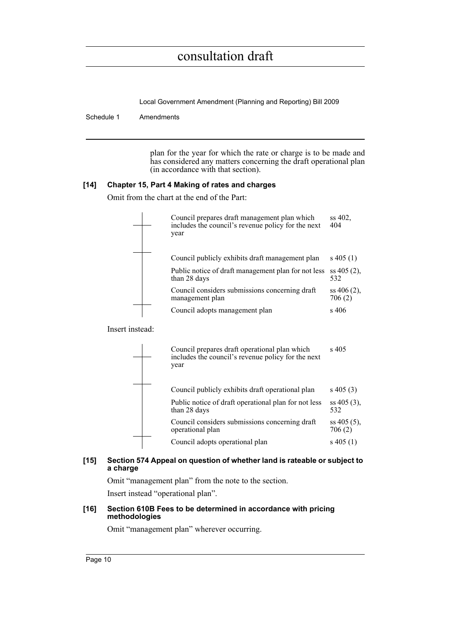Local Government Amendment (Planning and Reporting) Bill 2009

Schedule 1 Amendments

plan for the year for which the rate or charge is to be made and has considered any matters concerning the draft operational plan (in accordance with that section).

### **[14] Chapter 15, Part 4 Making of rates and charges**

Omit from the chart at the end of the Part:

|          | Council prepares draft management plan which<br>includes the council's revenue policy for the next<br>year | ss 402.<br>404           |
|----------|------------------------------------------------------------------------------------------------------------|--------------------------|
|          | Council publicly exhibits draft management plan                                                            | $s\,405(1)$              |
|          | Public notice of draft management plan for not less<br>than 28 days                                        | $ss 405(2)$ ,<br>532     |
|          | Council considers submissions concerning draft<br>management plan                                          | $ss 406(2)$ ,<br>706 (2) |
|          | Council adopts management plan                                                                             | s 406                    |
| instead: |                                                                                                            |                          |
|          |                                                                                                            |                          |

**Insert** 

| Council prepares draft operational plan which<br>includes the council's revenue policy for the next<br>year | s 405                   |
|-------------------------------------------------------------------------------------------------------------|-------------------------|
| Council publicly exhibits draft operational plan                                                            | $s\ 405\ (3)$           |
| Public notice of draft operational plan for not less<br>than 28 days                                        | $ss 405(3)$ ,<br>532    |
| Council considers submissions concerning draft<br>operational plan                                          | $ss 405(5)$ ,<br>706(2) |
| Council adopts operational plan                                                                             | s 405 $(1)$             |
|                                                                                                             |                         |

### **[15] Section 574 Appeal on question of whether land is rateable or subject to a charge**

Omit "management plan" from the note to the section.

Insert instead "operational plan".

### **[16] Section 610B Fees to be determined in accordance with pricing methodologies**

Omit "management plan" wherever occurring.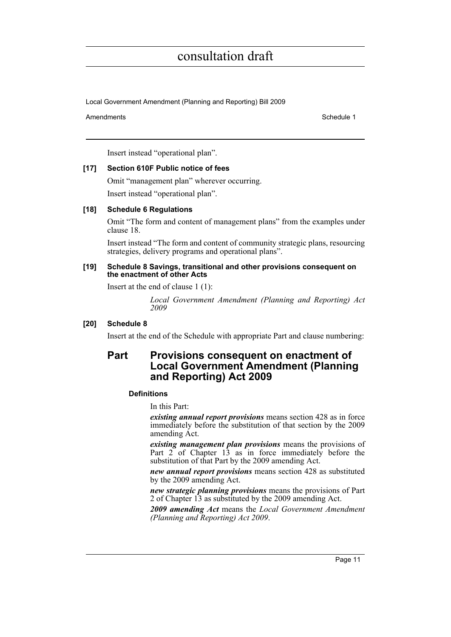Local Government Amendment (Planning and Reporting) Bill 2009

#### Amendments **Amendments** Schedule 1

Insert instead "operational plan".

### **[17] Section 610F Public notice of fees**

Omit "management plan" wherever occurring.

Insert instead "operational plan".

### **[18] Schedule 6 Regulations**

Omit "The form and content of management plans" from the examples under clause 18.

Insert instead "The form and content of community strategic plans, resourcing strategies, delivery programs and operational plans".

#### **[19] Schedule 8 Savings, transitional and other provisions consequent on the enactment of other Acts**

Insert at the end of clause 1 (1):

*Local Government Amendment (Planning and Reporting) Act 2009*

### **[20] Schedule 8**

Insert at the end of the Schedule with appropriate Part and clause numbering:

### **Part Provisions consequent on enactment of Local Government Amendment (Planning and Reporting) Act 2009**

### **Definitions**

In this Part:

*existing annual report provisions* means section 428 as in force immediately before the substitution of that section by the 2009 amending Act.

*existing management plan provisions* means the provisions of Part  $2^{\circ}$  of Chapter 13 as in force immediately before the substitution of that Part by the 2009 amending Act.

*new annual report provisions* means section 428 as substituted by the 2009 amending Act.

*new strategic planning provisions* means the provisions of Part 2 of Chapter 13 as substituted by the 2009 amending Act.

*2009 amending Act* means the *Local Government Amendment (Planning and Reporting) Act 2009*.